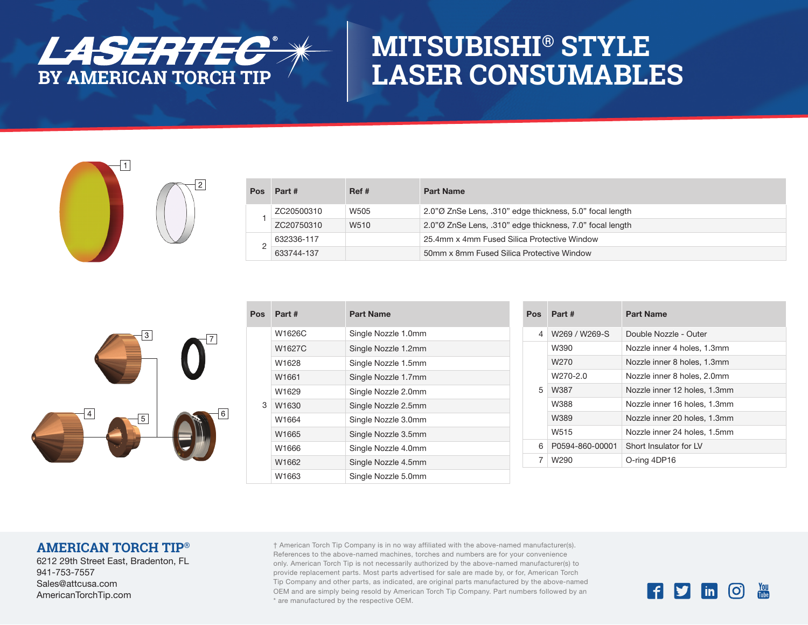

# **MITSUBISHI® STYLE LASER CONSUMABLES**



| Pos | Part #     | Ref# | <b>Part Name</b>                                          |
|-----|------------|------|-----------------------------------------------------------|
|     | ZC20500310 | W505 | 2.0" OZnSe Lens, .310" edge thickness, 5.0" focal length  |
|     | ZC20750310 | W510 | 2.0" Ø ZnSe Lens, .310" edge thickness, 7.0" focal length |
|     | 632336-117 |      | 25.4mm x 4mm Fused Silica Protective Window               |
|     | 633744-137 |      | 50mm x 8mm Fused Silica Protective Window                 |



| Pos | Part#  | <b>Part Name</b>    |
|-----|--------|---------------------|
|     | W1626C | Single Nozzle 1.0mm |
|     | W1627C | Single Nozzle 1.2mm |
|     | W1628  | Single Nozzle 1.5mm |
|     | W1661  | Single Nozzle 1.7mm |
|     | W1629  | Single Nozzle 2.0mm |
| 3   | W1630  | Single Nozzle 2.5mm |
|     | W1664  | Single Nozzle 3.0mm |
|     | W1665  | Single Nozzle 3.5mm |
|     | W1666  | Single Nozzle 4.0mm |
|     | W1662  | Single Nozzle 4.5mm |
|     | W1663  | Single Nozzle 5.0mm |

| Pos | Part #           | <b>Part Name</b>             |
|-----|------------------|------------------------------|
| 4   | W269 / W269-S    | Double Nozzle - Outer        |
|     | W390             | Nozzle inner 4 holes, 1.3mm  |
|     | W <sub>270</sub> | Nozzle inner 8 holes, 1.3mm  |
|     | W270-2.0         | Nozzle inner 8 holes, 2,0mm  |
| 5   | W387             | Nozzle inner 12 holes, 1.3mm |
|     | W388             | Nozzle inner 16 holes, 1.3mm |
|     | W389             | Nozzle inner 20 holes, 1.3mm |
|     | W <sub>515</sub> | Nozzle inner 24 holes, 1.5mm |
| 6   | P0594-860-00001  | Short Insulator for IV       |
| 7   | W290             | O-ring 4DP16                 |

### **AMERICAN TORCH TIP®**

6212 29th Street East, Bradenton, FL 941-753-7557 Sales@attcusa.com AmericanTorchTip.com

† American Torch Tip Company is in no way affiliated with the above-named manufacturer(s). References to the above-named machines, torches and numbers are for your convenience only. American Torch Tip is not necessarily authorized by the above-named manufacturer(s) to provide replacement parts. Most parts advertised for sale are made by, or for, American Torch Tip Company and other parts, as indicated, are original parts manufactured by the above-named OEM and are simply being resold by American Torch Tip Company. Part numbers followed by an \* are manufactured by the respective OEM.